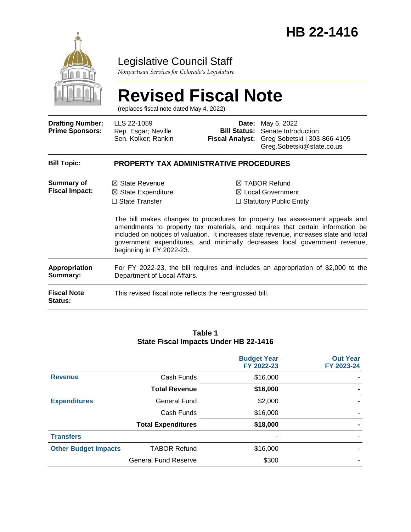

### Legislative Council Staff

*Nonpartisan Services for Colorado's Legislature*

# **Revised Fiscal Note**

(replaces fiscal note dated May 4, 2022)

| <b>Drafting Number:</b><br><b>Prime Sponsors:</b> | LLS 22-1059<br>Rep. Esgar; Neville<br>Sen. Kolker; Rankin                                                         | <b>Bill Status:</b><br><b>Fiscal Analyst:</b> | <b>Date:</b> May 6, 2022<br>Senate Introduction<br>Greg Sobetski   303-866-4105<br>Greg.Sobetski@state.co.us                                                                                                                                                                                                                                                                                                                          |  |
|---------------------------------------------------|-------------------------------------------------------------------------------------------------------------------|-----------------------------------------------|---------------------------------------------------------------------------------------------------------------------------------------------------------------------------------------------------------------------------------------------------------------------------------------------------------------------------------------------------------------------------------------------------------------------------------------|--|
| <b>Bill Topic:</b>                                | <b>PROPERTY TAX ADMINISTRATIVE PROCEDURES</b>                                                                     |                                               |                                                                                                                                                                                                                                                                                                                                                                                                                                       |  |
| <b>Summary of</b><br><b>Fiscal Impact:</b>        | $\boxtimes$ State Revenue<br>$\boxtimes$ State Expenditure<br>$\Box$ State Transfer<br>beginning in FY 2022-23.   |                                               | $\boxtimes$ TABOR Refund<br>$\boxtimes$ Local Government<br>$\Box$ Statutory Public Entity<br>The bill makes changes to procedures for property tax assessment appeals and<br>amendments to property tax materials, and requires that certain information be<br>included on notices of valuation. It increases state revenue, increases state and local<br>government expenditures, and minimally decreases local government revenue, |  |
| Appropriation<br>Summary:                         | For FY 2022-23, the bill requires and includes an appropriation of \$2,000 to the<br>Department of Local Affairs. |                                               |                                                                                                                                                                                                                                                                                                                                                                                                                                       |  |
| <b>Fiscal Note</b><br>Status:                     | This revised fiscal note reflects the reengrossed bill.                                                           |                                               |                                                                                                                                                                                                                                                                                                                                                                                                                                       |  |

#### **Table 1 State Fiscal Impacts Under HB 22-1416**

|                             |                             | <b>Budget Year</b><br>FY 2022-23 | <b>Out Year</b><br>FY 2023-24 |
|-----------------------------|-----------------------------|----------------------------------|-------------------------------|
| <b>Revenue</b>              | Cash Funds                  | \$16,000                         |                               |
|                             | <b>Total Revenue</b>        | \$16,000                         |                               |
| <b>Expenditures</b>         | <b>General Fund</b>         | \$2,000                          |                               |
|                             | Cash Funds                  | \$16,000                         |                               |
|                             | <b>Total Expenditures</b>   | \$18,000                         |                               |
| <b>Transfers</b>            |                             |                                  |                               |
| <b>Other Budget Impacts</b> | <b>TABOR Refund</b>         | \$16,000                         |                               |
|                             | <b>General Fund Reserve</b> | \$300                            |                               |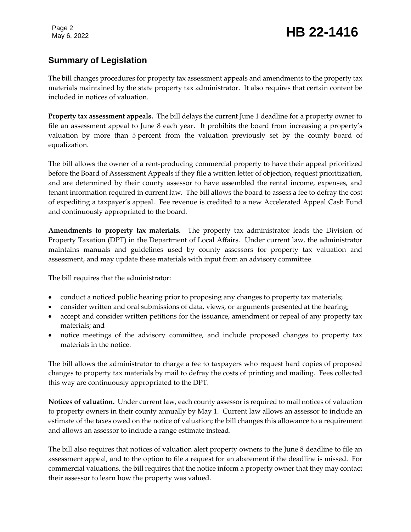#### **Summary of Legislation**

The bill changes procedures for property tax assessment appeals and amendments to the property tax materials maintained by the state property tax administrator. It also requires that certain content be included in notices of valuation.

**Property tax assessment appeals.** The bill delays the current June 1 deadline for a property owner to file an assessment appeal to June 8 each year. It prohibits the board from increasing a property's valuation by more than 5 percent from the valuation previously set by the county board of equalization.

The bill allows the owner of a rent-producing commercial property to have their appeal prioritized before the Board of Assessment Appeals if they file a written letter of objection, request prioritization, and are determined by their county assessor to have assembled the rental income, expenses, and tenant information required in current law. The bill allows the board to assess a fee to defray the cost of expediting a taxpayer's appeal. Fee revenue is credited to a new Accelerated Appeal Cash Fund and continuously appropriated to the board.

**Amendments to property tax materials.** The property tax administrator leads the Division of Property Taxation (DPT) in the Department of Local Affairs. Under current law, the administrator maintains manuals and guidelines used by county assessors for property tax valuation and assessment, and may update these materials with input from an advisory committee.

The bill requires that the administrator:

- conduct a noticed public hearing prior to proposing any changes to property tax materials;
- consider written and oral submissions of data, views, or arguments presented at the hearing;
- accept and consider written petitions for the issuance, amendment or repeal of any property tax materials; and
- notice meetings of the advisory committee, and include proposed changes to property tax materials in the notice.

The bill allows the administrator to charge a fee to taxpayers who request hard copies of proposed changes to property tax materials by mail to defray the costs of printing and mailing. Fees collected this way are continuously appropriated to the DPT.

**Notices of valuation.** Under current law, each county assessor is required to mail notices of valuation to property owners in their county annually by May 1. Current law allows an assessor to include an estimate of the taxes owed on the notice of valuation; the bill changes this allowance to a requirement and allows an assessor to include a range estimate instead.

The bill also requires that notices of valuation alert property owners to the June 8 deadline to file an assessment appeal, and to the option to file a request for an abatement if the deadline is missed. For commercial valuations, the bill requires that the notice inform a property owner that they may contact their assessor to learn how the property was valued.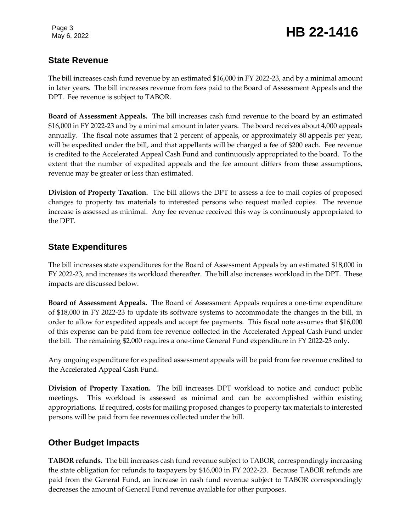### May 6, 2022 **HB 22-1416**

#### **State Revenue**

The bill increases cash fund revenue by an estimated \$16,000 in FY 2022-23, and by a minimal amount in later years. The bill increases revenue from fees paid to the Board of Assessment Appeals and the DPT. Fee revenue is subject to TABOR.

**Board of Assessment Appeals.** The bill increases cash fund revenue to the board by an estimated \$16,000 in FY 2022-23 and by a minimal amount in later years. The board receives about 4,000 appeals annually. The fiscal note assumes that 2 percent of appeals, or approximately 80 appeals per year, will be expedited under the bill, and that appellants will be charged a fee of \$200 each. Fee revenue is credited to the Accelerated Appeal Cash Fund and continuously appropriated to the board. To the extent that the number of expedited appeals and the fee amount differs from these assumptions, revenue may be greater or less than estimated.

**Division of Property Taxation.** The bill allows the DPT to assess a fee to mail copies of proposed changes to property tax materials to interested persons who request mailed copies. The revenue increase is assessed as minimal. Any fee revenue received this way is continuously appropriated to the DPT.

#### **State Expenditures**

The bill increases state expenditures for the Board of Assessment Appeals by an estimated \$18,000 in FY 2022-23, and increases its workload thereafter. The bill also increases workload in the DPT. These impacts are discussed below.

**Board of Assessment Appeals.** The Board of Assessment Appeals requires a one-time expenditure of \$18,000 in FY 2022-23 to update its software systems to accommodate the changes in the bill, in order to allow for expedited appeals and accept fee payments. This fiscal note assumes that \$16,000 of this expense can be paid from fee revenue collected in the Accelerated Appeal Cash Fund under the bill. The remaining \$2,000 requires a one-time General Fund expenditure in FY 2022-23 only.

Any ongoing expenditure for expedited assessment appeals will be paid from fee revenue credited to the Accelerated Appeal Cash Fund.

**Division of Property Taxation.** The bill increases DPT workload to notice and conduct public meetings. This workload is assessed as minimal and can be accomplished within existing appropriations. If required, costs for mailing proposed changes to property tax materials to interested persons will be paid from fee revenues collected under the bill.

#### **Other Budget Impacts**

**TABOR refunds.** The bill increases cash fund revenue subject to TABOR, correspondingly increasing the state obligation for refunds to taxpayers by \$16,000 in FY 2022-23. Because TABOR refunds are paid from the General Fund, an increase in cash fund revenue subject to TABOR correspondingly decreases the amount of General Fund revenue available for other purposes.